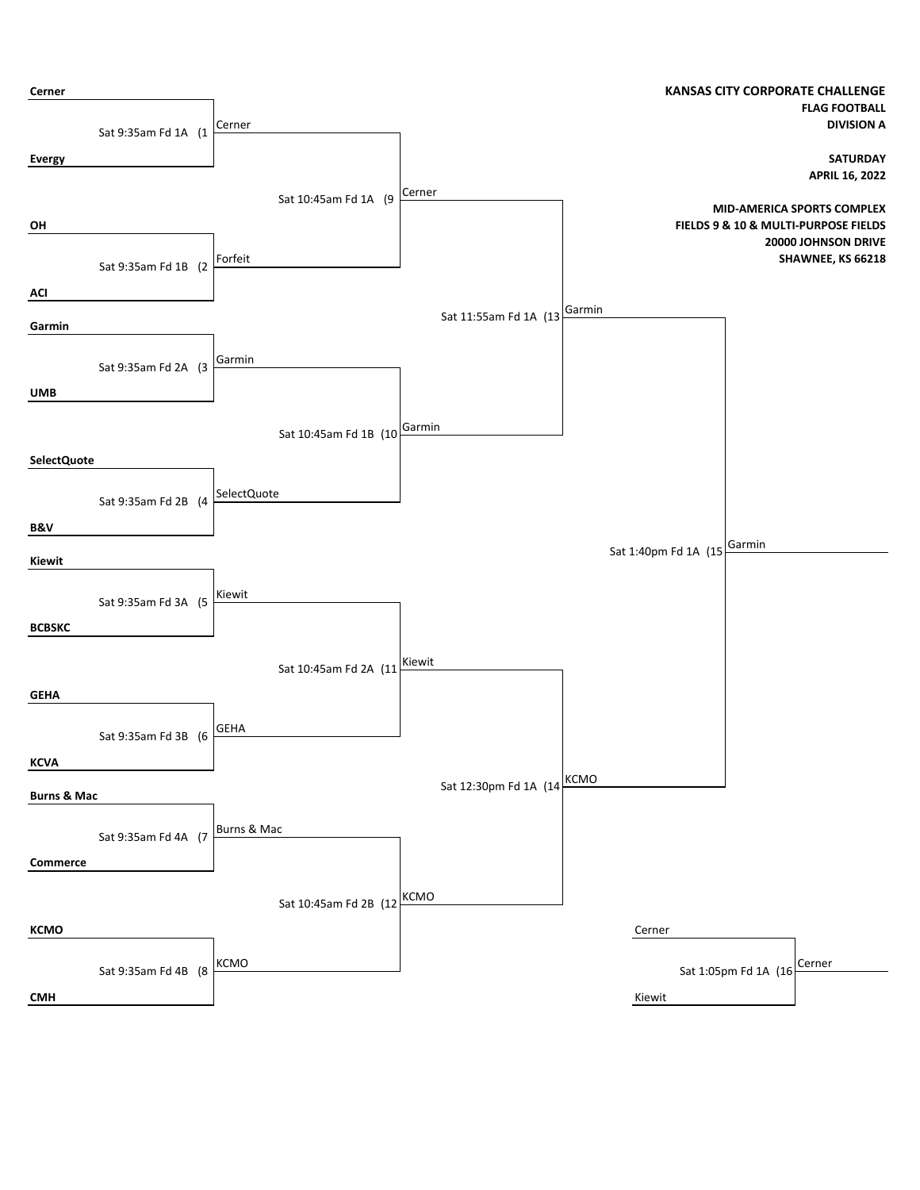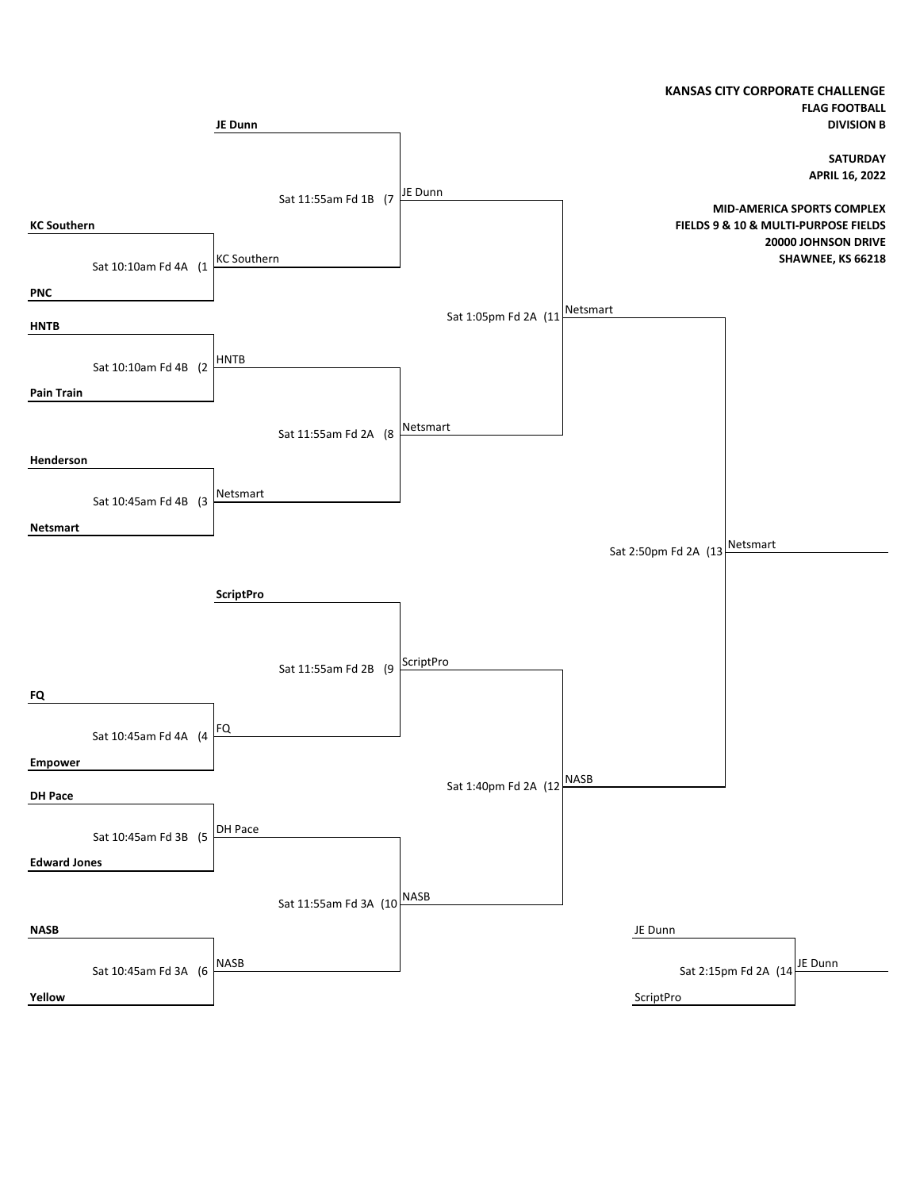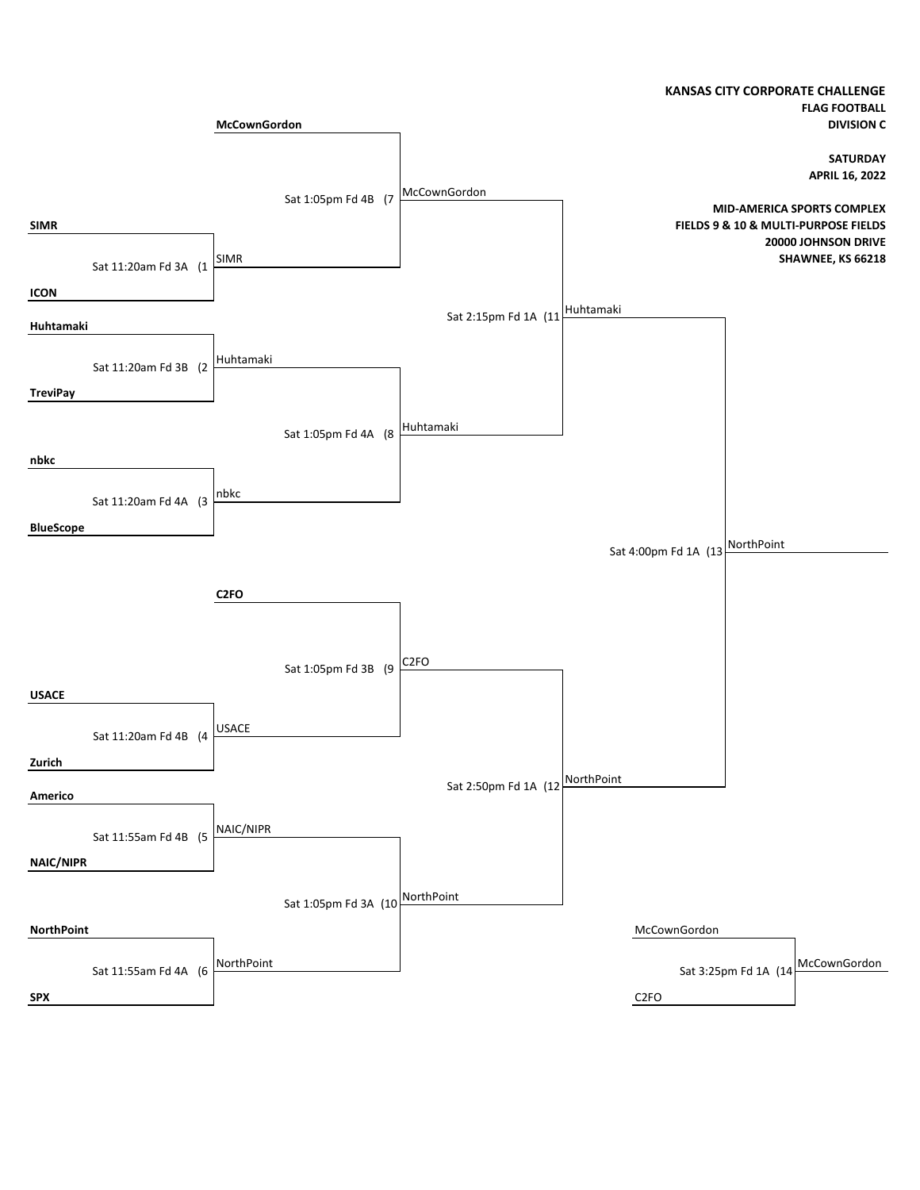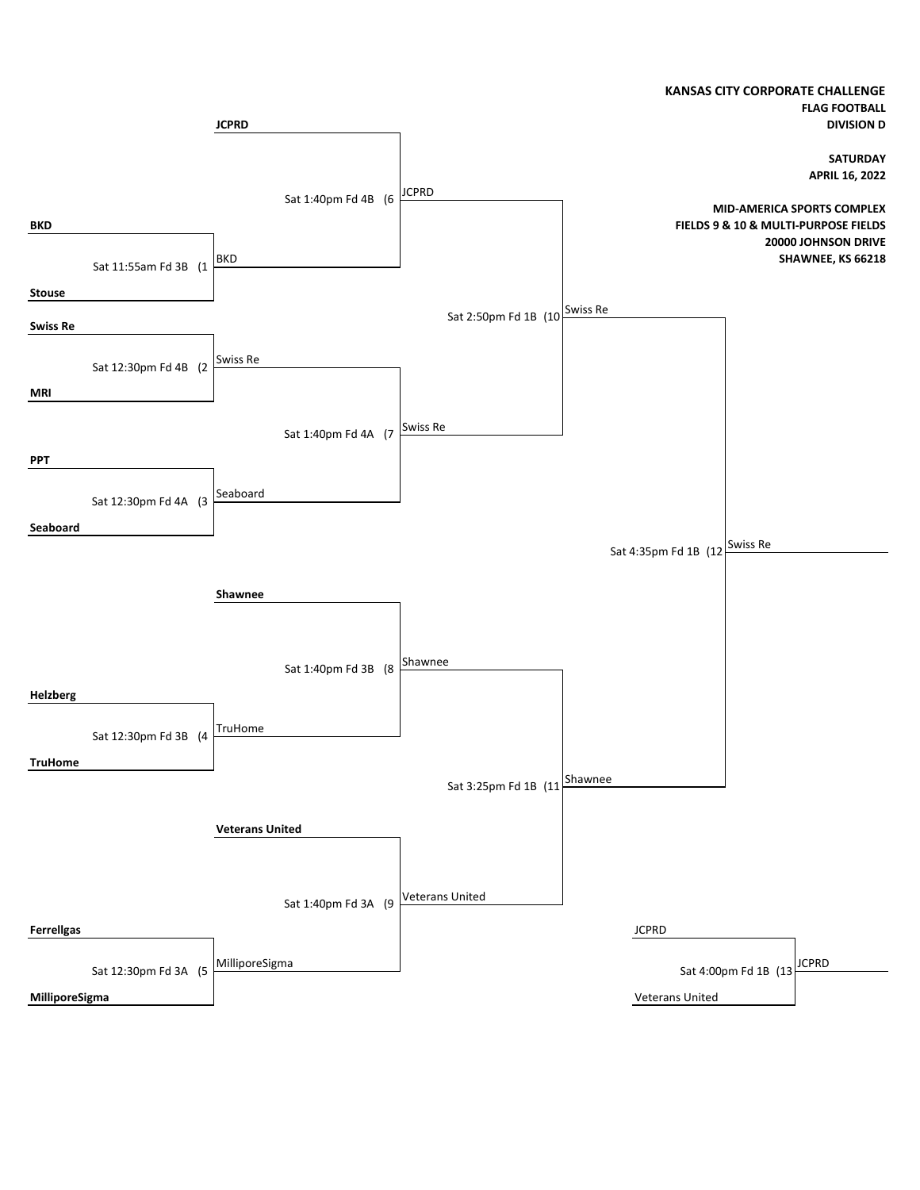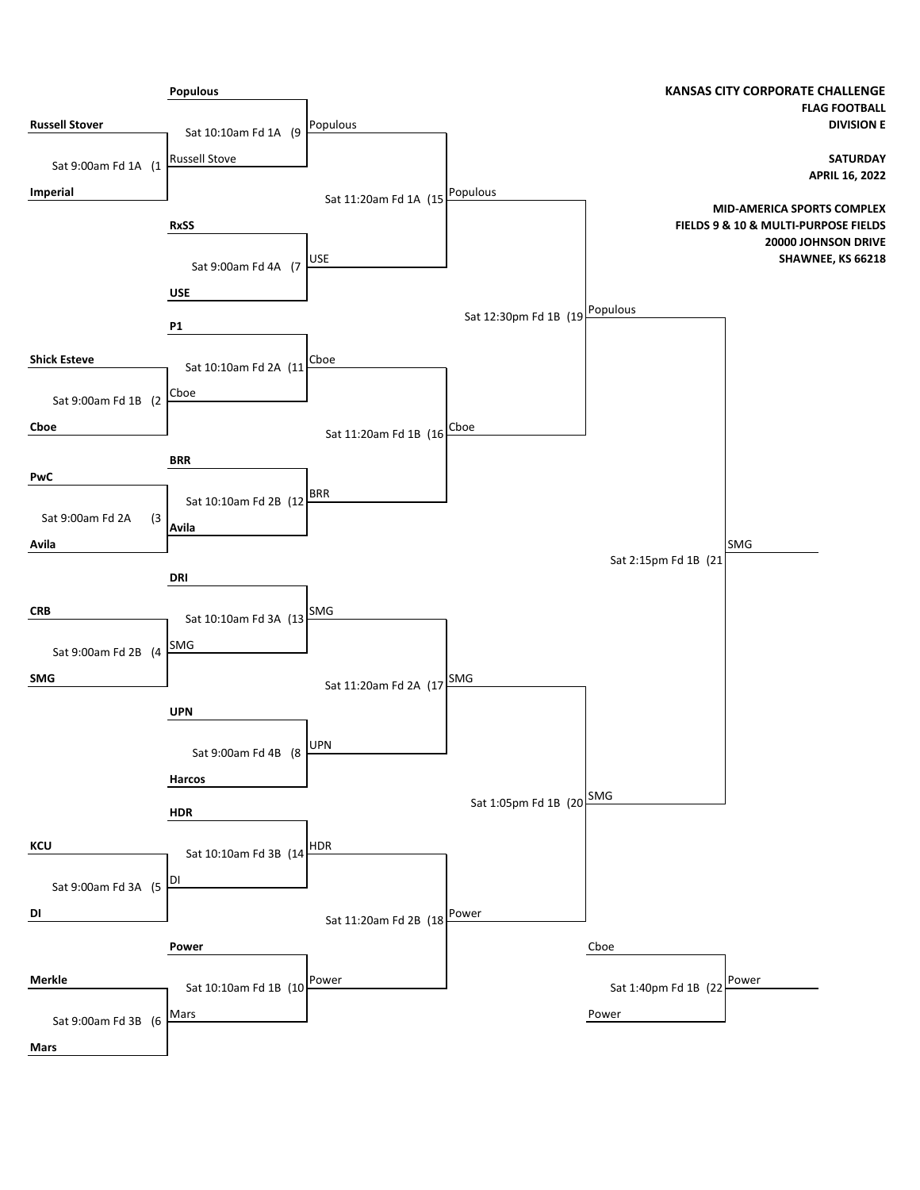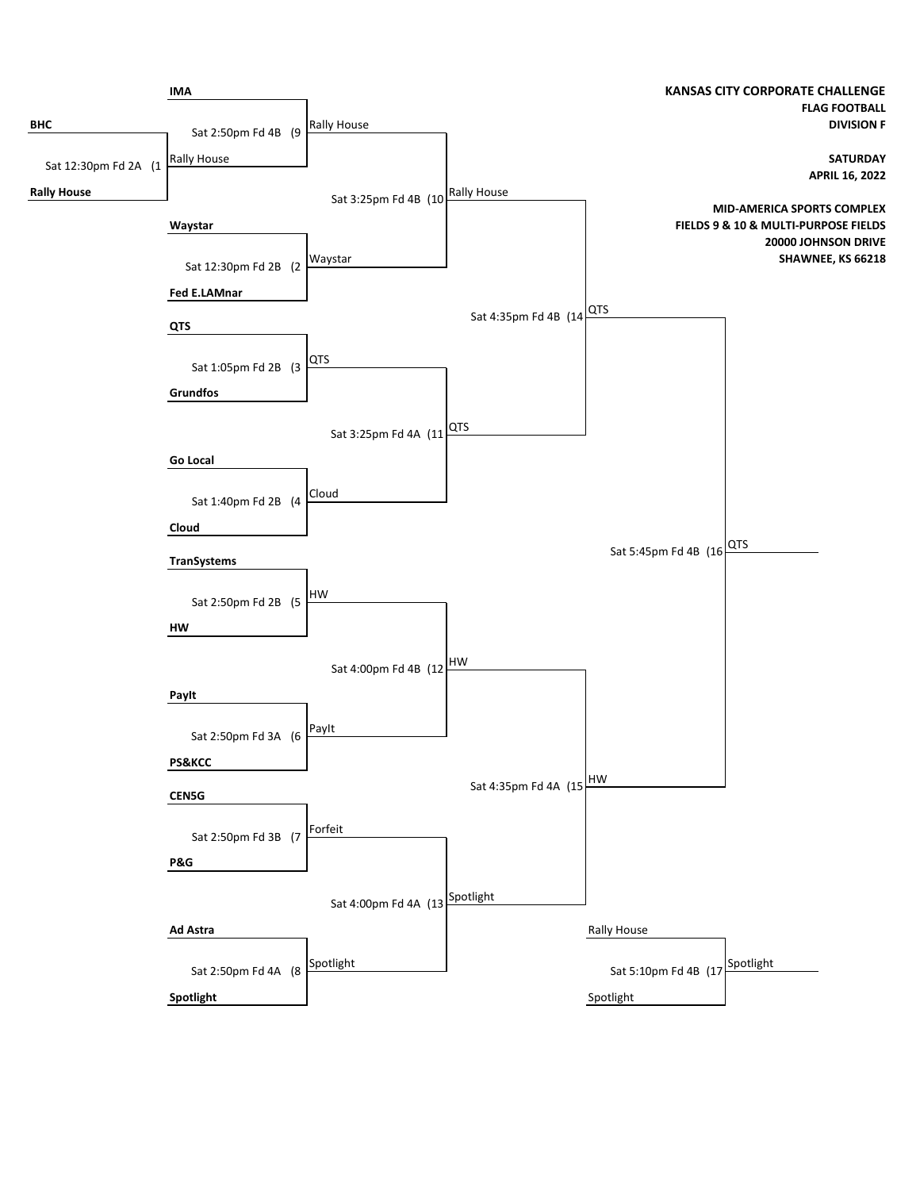